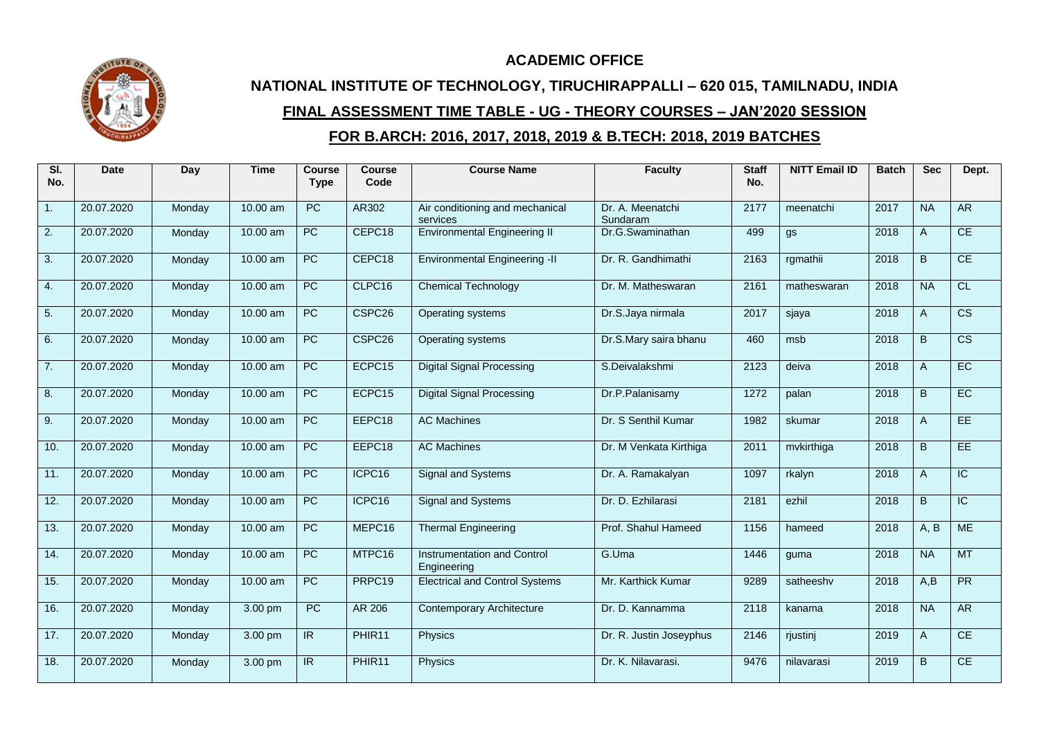## **ACADEMIC OFFICE**

## **NATIONAL INSTITUTE OF TECHNOLOGY, TIRUCHIRAPPALLI – 620 015, TAMILNADU, INDIA FINAL ASSESSMENT TIME TABLE - UG - THEORY COURSES – JAN'2020 SESSION FOR B.ARCH: 2016, 2017, 2018, 2019 & B.TECH: 2018, 2019 BATCHES**

| SI.<br>No. | <b>Date</b> | Day    | <b>Time</b> | Course<br><b>Type</b> | <b>Course</b><br>Code | <b>Course Name</b>                                | <b>Faculty</b>               | <b>Staff</b><br>No. | <b>NITT Email ID</b> | <b>Batch</b> | <b>Sec</b> | Dept.                  |
|------------|-------------|--------|-------------|-----------------------|-----------------------|---------------------------------------------------|------------------------------|---------------------|----------------------|--------------|------------|------------------------|
| 1.         | 20.07.2020  | Monday | 10.00 am    | PC                    | AR302                 | Air conditioning and mechanical<br>services       | Dr. A. Meenatchi<br>Sundaram | 2177                | meenatchi            | 2017         | <b>NA</b>  | <b>AR</b>              |
| 2.         | 20.07.2020  | Monday | 10.00 am    | $\overline{PC}$       | CEPC18                | <b>Environmental Engineering II</b>               | Dr.G.Swaminathan             | 499                 | gs                   | 2018         | A          | CE                     |
| 3.         | 20.07.2020  | Monday | 10.00 am    | <b>PC</b>             | CEPC18                | <b>Environmental Engineering -II</b>              | Dr. R. Gandhimathi           | 2163                | rgmathii             | 2018         | B.         | CE                     |
| 4.         | 20.07.2020  | Monday | $10.00$ am  | $\overline{PC}$       | CLPC16                | <b>Chemical Technology</b>                        | Dr. M. Matheswaran           | 2161                | matheswaran          | 2018         | <b>NA</b>  | CL                     |
| 5.         | 20.07.2020  | Monday | 10.00 am    | $\overline{PC}$       | CSPC <sub>26</sub>    | Operating systems                                 | Dr.S.Jaya nirmala            | 2017                | sjaya                | 2018         | A          | $\overline{\text{cs}}$ |
| 6.         | 20.07.2020  | Monday | 10.00 am    | $\overline{PC}$       | CSPC <sub>26</sub>    | Operating systems                                 | Dr.S.Mary saira bhanu        | 460                 | msb                  | 2018         | B.         | $\overline{\text{CS}}$ |
| 7.         | 20.07.2020  | Monday | $10.00$ am  | $\overline{PC}$       | ECPC15                | <b>Digital Signal Processing</b>                  | S.Deivalakshmi               | 2123                | deiva                | 2018         | A          | EC                     |
| 8.         | 20.07.2020  | Monday | $10.00$ am  | $\overline{PC}$       | ECPC15                | <b>Digital Signal Processing</b>                  | Dr.P.Palanisamy              | 1272                | palan                | 2018         | B.         | EC                     |
| 9.         | 20.07.2020  | Monday | 10.00 am    | $\overline{PC}$       | EEPC18                | <b>AC Machines</b>                                | Dr. S Senthil Kumar          | 1982                | skumar               | 2018         | A          | EE                     |
| 10.        | 20.07.2020  | Monday | 10.00 am    | $\overline{PC}$       | EEPC18                | <b>AC Machines</b>                                | Dr. M Venkata Kirthiga       | 2011                | mvkirthiga           | 2018         | B.         | EE                     |
| 11.        | 20.07.2020  | Monday | 10.00 am    | PC                    | ICPC16                | Signal and Systems                                | Dr. A. Ramakalyan            | 1097                | rkalyn               | 2018         | A          | $\overline{IC}$        |
| 12.        | 20.07.2020  | Monday | 10.00 am    | PC                    | ICPC16                | Signal and Systems                                | Dr. D. Ezhilarasi            | 2181                | ezhil                | 2018         | B.         | IC                     |
| 13.        | 20.07.2020  | Monday | 10.00 am    | $\overline{PC}$       | MEPC16                | <b>Thermal Engineering</b>                        | Prof. Shahul Hameed          | 1156                | hameed               | 2018         | A, B       | <b>ME</b>              |
| 14.        | 20.07.2020  | Monday | 10.00 am    | $\overline{PC}$       | MTPC16                | <b>Instrumentation and Control</b><br>Engineering | G.Uma                        | 1446                | quma                 | 2018         | <b>NA</b>  | MT                     |
| 15.        | 20.07.2020  | Monday | 10.00 am    | <b>PC</b>             | PRPC19                | <b>Electrical and Control Systems</b>             | Mr. Karthick Kumar           | 9289                | satheeshy            | 2018         | A.B        | <b>PR</b>              |
| 16.        | 20.07.2020  | Monday | 3.00 pm     | <b>PC</b>             | AR 206                | <b>Contemporary Architecture</b>                  | Dr. D. Kannamma              | 2118                | kanama               | 2018         | <b>NA</b>  | <b>AR</b>              |
| 17.        | 20.07.2020  | Monday | 3.00 pm     | IR.                   | PHIR11                | Physics                                           | Dr. R. Justin Joseyphus      | 2146                | rjustinj             | 2019         | A          | CE                     |
| 18.        | 20.07.2020  | Monday | 3.00 pm     | IR                    | PHIR <sub>11</sub>    | Physics                                           | Dr. K. Nilavarasi.           | 9476                | nilavarasi           | 2019         | B          | CE                     |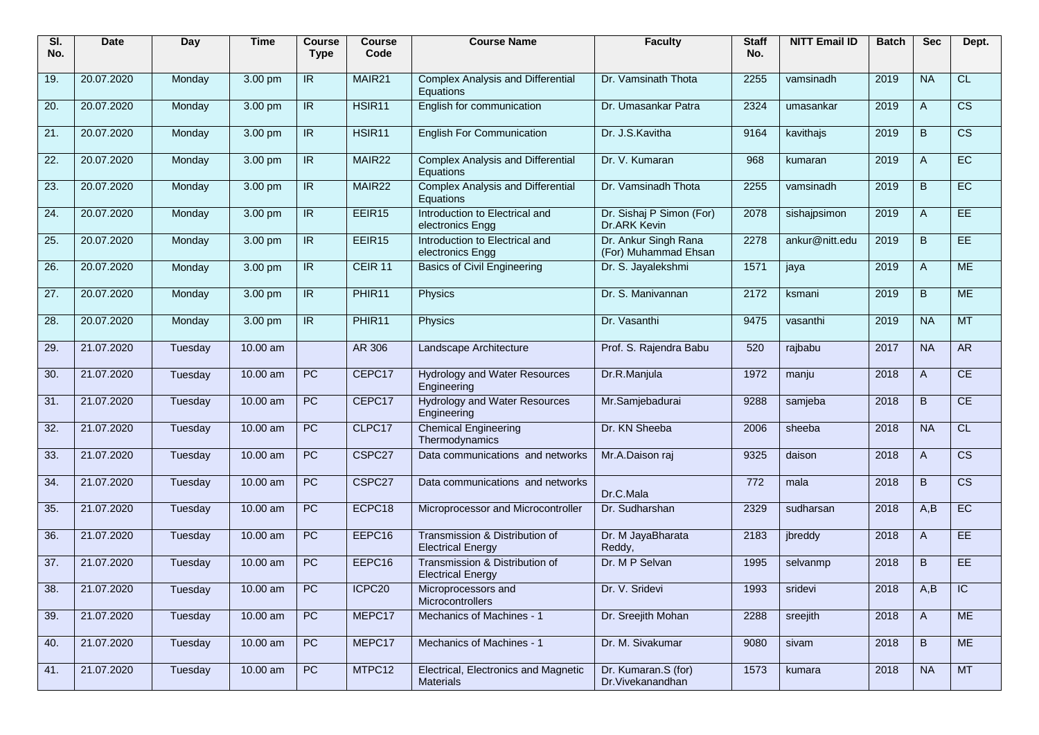| SI.<br>No. | Date       | Day     | <b>Time</b> | Course<br><b>Type</b>    | <b>Course</b><br>Code | <b>Course Name</b>                                         | <b>Faculty</b>                               | <b>Staff</b><br>No. | <b>NITT Email ID</b> | <b>Batch</b> | <b>Sec</b>   | Dept.                       |
|------------|------------|---------|-------------|--------------------------|-----------------------|------------------------------------------------------------|----------------------------------------------|---------------------|----------------------|--------------|--------------|-----------------------------|
| 19.        | 20.07.2020 | Monday  | 3.00 pm     | IR.                      | MAIR21                | <b>Complex Analysis and Differential</b><br>Equations      | Dr. Vamsinath Thota                          | 2255                | vamsinadh            | 2019         | <b>NA</b>    | CL.                         |
| 20.        | 20.07.2020 | Monday  | 3.00 pm     | $\overline{\mathsf{IR}}$ | HSIR <sub>11</sub>    | English for communication                                  | Dr. Umasankar Patra                          | 2324                | umasankar            | 2019         | A            | $\overline{\text{cs}}$      |
| 21.        | 20.07.2020 | Monday  | 3.00 pm     | IR.                      | HSIR11                | <b>English For Communication</b>                           | Dr. J.S.Kavitha                              | 9164                | kavithajs            | 2019         | B            | $\overline{\text{cs}}$      |
| 22.        | 20.07.2020 | Monday  | 3.00 pm     | $\overline{\mathbb{R}}$  | MAIR <sub>22</sub>    | <b>Complex Analysis and Differential</b><br>Equations      | Dr. V. Kumaran                               | 968                 | kumaran              | 2019         | $\mathsf{A}$ | EC                          |
| 23.        | 20.07.2020 | Monday  | 3.00 pm     | IR.                      | MAIR22                | <b>Complex Analysis and Differential</b><br>Equations      | Dr. Vamsinadh Thota                          | 2255                | vamsinadh            | 2019         | B            | EC                          |
| 24.        | 20.07.2020 | Monday  | 3.00 pm     | IR                       | EEIR15                | Introduction to Electrical and<br>electronics Engg         | Dr. Sishaj P Simon (For)<br>Dr.ARK Kevin     | 2078                | sishajpsimon         | 2019         | $\mathsf{A}$ | EE                          |
| 25.        | 20.07.2020 | Monday  | 3.00 pm     | IR.                      | EEIR15                | Introduction to Electrical and<br>electronics Engg         | Dr. Ankur Singh Rana<br>(For) Muhammad Ehsan | 2278                | ankur@nitt.edu       | 2019         | B            | EE                          |
| 26.        | 20.07.2020 | Monday  | 3.00 pm     | IR.                      | CEIR 11               | <b>Basics of Civil Engineering</b>                         | Dr. S. Jayalekshmi                           | 1571                | jaya                 | 2019         | A            | <b>ME</b>                   |
| 27.        | 20.07.2020 | Monday  | 3.00 pm     | IR.                      | PHIR11                | Physics                                                    | Dr. S. Manivannan                            | 2172                | ksmani               | 2019         | B            | <b>ME</b>                   |
| 28.        | 20.07.2020 | Monday  | 3.00 pm     | $\overline{\mathsf{IR}}$ | PHIR11                | Physics                                                    | Dr. Vasanthi                                 | 9475                | vasanthi             | 2019         | <b>NA</b>    | <b>MT</b>                   |
| 29.        | 21.07.2020 | Tuesday | 10.00 am    |                          | AR 306                | Landscape Architecture                                     | Prof. S. Rajendra Babu                       | 520                 | rajbabu              | 2017         | <b>NA</b>    | <b>AR</b>                   |
| 30.        | 21.07.2020 | Tuesday | 10.00 am    | PC                       | CEPC17                | <b>Hydrology and Water Resources</b><br>Engineering        | Dr.R.Manjula                                 | 1972                | manju                | 2018         | $\mathsf{A}$ | CE                          |
| 31.        | 21.07.2020 | Tuesday | 10.00 am    | PC                       | CEPC17                | <b>Hydrology and Water Resources</b><br>Engineering        | Mr.Samjebadurai                              | 9288                | samjeba              | 2018         | B            | CE                          |
| 32.        | 21.07.2020 | Tuesday | 10.00 am    | PC                       | CLPC17                | <b>Chemical Engineering</b><br>Thermodynamics              | Dr. KN Sheeba                                | 2006                | sheeba               | 2018         | <b>NA</b>    | CL                          |
| 33.        | 21.07.2020 | Tuesday | 10.00 am    | PC                       | CSPC27                | Data communications and networks                           | Mr.A.Daison raj                              | 9325                | daison               | 2018         | $\mathsf{A}$ | $\overline{\text{cs}}$      |
| 34.        | 21.07.2020 | Tuesday | 10.00 am    | $\overline{PC}$          | CSPC27                | Data communications and networks                           | Dr.C.Mala                                    | 772                 | mala                 | 2018         | B            | $\overline{\text{cs}}$      |
| 35.        | 21.07.2020 | Tuesday | 10.00 am    | $\overline{PC}$          | ECPC18                | Microprocessor and Microcontroller                         | Dr. Sudharshan                               | 2329                | sudharsan            | 2018         | A,B          | EC                          |
| 36.        | 21.07.2020 | Tuesday | 10.00 am    | PC                       | EEPC16                | Transmission & Distribution of<br><b>Electrical Energy</b> | Dr. M JayaBharata<br>Reddy,                  | 2183                | jbreddy              | 2018         | $\mathsf{A}$ | EE                          |
| 37.        | 21.07.2020 | Tuesday | 10.00 am    | <b>PC</b>                | EEPC16                | Transmission & Distribution of<br><b>Electrical Energy</b> | Dr. M P Selvan                               | 1995                | selvanmp             | 2018         | B.           | EE                          |
| 38.        | 21.07.2020 | Tuesday | $10.00$ am  | PC                       | ICPC <sub>20</sub>    | Microprocessors and<br>Microcontrollers                    | Dr. V. Sridevi                               | 1993                | sridevi              | 2018         | A,B          | $\overline{\phantom{a}}$ ic |
| 39.        | 21.07.2020 | Tuesday | $10.00$ am  | PC                       | MEPC17                | Mechanics of Machines - 1                                  | Dr. Sreejith Mohan                           | 2288                | sreejith             | 2018         | A            | <b>ME</b>                   |
| 40.        | 21.07.2020 | Tuesday | 10.00 am    | PC                       | MEPC17                | Mechanics of Machines - 1                                  | Dr. M. Sivakumar                             | 9080                | sivam                | 2018         | B            | <b>ME</b>                   |
| 41.        | 21.07.2020 | Tuesday | $10.00$ am  | PC                       | MTPC12                | Electrical, Electronics and Magnetic<br><b>Materials</b>   | Dr. Kumaran.S (for)<br>Dr.Vivekanandhan      | 1573                | kumara               | 2018         | <b>NA</b>    | <b>MT</b>                   |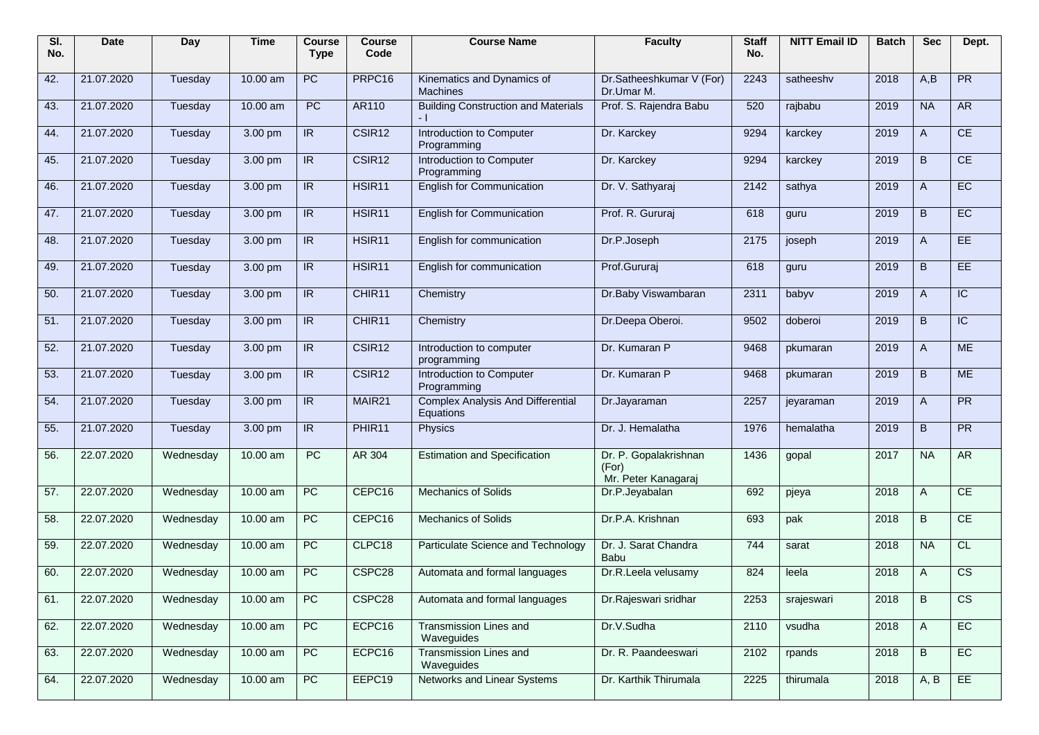| SI.<br>No. | <b>Date</b> | <b>Day</b> | <b>Time</b> | <b>Course</b><br><b>Type</b> | <b>Course</b><br>Code | <b>Course Name</b>                                    | <b>Faculty</b>                                        | <b>Staff</b><br>No. | <b>NITT Email ID</b> | <b>Batch</b> | <b>Sec</b>   | Dept.                  |
|------------|-------------|------------|-------------|------------------------------|-----------------------|-------------------------------------------------------|-------------------------------------------------------|---------------------|----------------------|--------------|--------------|------------------------|
| 42.        | 21.07.2020  | Tuesday    | 10.00 am    | PC                           | PRPC16                | Kinematics and Dynamics of<br><b>Machines</b>         | Dr.Satheeshkumar V (For)<br>Dr.Umar M.                | 2243                | satheeshy            | 2018         | A.B          | PR                     |
| 43.        | 21.07.2020  | Tuesday    | 10.00 am    | PC                           | <b>AR110</b>          | <b>Building Construction and Materials</b>            | Prof. S. Rajendra Babu                                | 520                 | rajbabu              | 2019         | <b>NA</b>    | <b>AR</b>              |
| 44.        | 21.07.2020  | Tuesday    | 3.00 pm     | IR                           | CSIR <sub>12</sub>    | Introduction to Computer<br>Programming               | Dr. Karckey                                           | 9294                | karckey              | 2019         | A            | CE                     |
| 45.        | 21.07.2020  | Tuesday    | 3.00 pm     | IR                           | CSIR <sub>12</sub>    | Introduction to Computer<br>Programming               | Dr. Karckey                                           | 9294                | karckey              | 2019         | B            | CE                     |
| 46.        | 21.07.2020  | Tuesday    | 3.00 pm     | IR                           | HSIR <sub>11</sub>    | <b>English for Communication</b>                      | Dr. V. Sathyaraj                                      | 2142                | sathya               | 2019         | $\mathsf{A}$ | EC                     |
| 47.        | 21.07.2020  | Tuesday    | 3.00 pm     | IR                           | HSIR <sub>11</sub>    | English for Communication                             | Prof. R. Gururaj                                      | 618                 | guru                 | 2019         | B            | EC                     |
| 48.        | 21.07.2020  | Tuesday    | 3.00 pm     | IR                           | HSIR <sub>11</sub>    | English for communication                             | Dr.P.Joseph                                           | 2175                | joseph               | 2019         | $\mathsf{A}$ | EE.                    |
| 49.        | 21.07.2020  | Tuesday    | 3.00 pm     | IR                           | HSIR <sub>11</sub>    | English for communication                             | Prof.Gururaj                                          | 618                 | guru                 | 2019         | B            | EE                     |
| 50.        | 21.07.2020  | Tuesday    | 3.00 pm     | IR                           | CHIR11                | Chemistry                                             | Dr.Baby Viswambaran                                   | 2311                | babyv                | 2019         | $\mathsf{A}$ | $\overline{C}$         |
| 51.        | 21.07.2020  | Tuesday    | 3.00 pm     | IR                           | CHIR11                | Chemistry                                             | Dr.Deepa Oberoi.                                      | 9502                | doberoi              | 2019         | B            | IC.                    |
| 52.        | 21.07.2020  | Tuesday    | 3.00 pm     | IR                           | CSIR12                | Introduction to computer<br>programming               | Dr. Kumaran P                                         | 9468                | pkumaran             | 2019         | A            | <b>ME</b>              |
| 53.        | 21.07.2020  | Tuesday    | 3.00 pm     | IR                           | CSIR <sub>12</sub>    | <b>Introduction to Computer</b><br>Programming        | Dr. Kumaran P                                         | 9468                | pkumaran             | 2019         | B            | <b>ME</b>              |
| 54.        | 21.07.2020  | Tuesday    | 3.00 pm     | IR                           | MAIR21                | <b>Complex Analysis And Differential</b><br>Equations | Dr.Jayaraman                                          | 2257                | jeyaraman            | 2019         | $\mathsf{A}$ | PR                     |
| 55.        | 21.07.2020  | Tuesday    | 3.00 pm     | IR                           | PHIR <sub>11</sub>    | <b>Physics</b>                                        | Dr. J. Hemalatha                                      | 1976                | hemalatha            | 2019         | B            | PR                     |
| 56.        | 22.07.2020  | Wednesday  | 10.00 am    | PC                           | AR 304                | <b>Estimation and Specification</b>                   | Dr. P. Gopalakrishnan<br>(For)<br>Mr. Peter Kanagaraj | 1436                | gopal                | 2017         | <b>NA</b>    | AR                     |
| 57.        | 22.07.2020  | Wednesday  | 10.00 am    | PC                           | CEPC16                | <b>Mechanics of Solids</b>                            | Dr.P.Jeyabalan                                        | 692                 | pjeya                | 2018         | A            | CE                     |
| 58.        | 22.07.2020  | Wednesday  | 10.00 am    | <b>PC</b>                    | CEPC16                | <b>Mechanics of Solids</b>                            | Dr.P.A. Krishnan                                      | 693                 | pak                  | 2018         | B            | CE                     |
| 59.        | 22.07.2020  | Wednesday  | 10.00 am    | <b>PC</b>                    | CLPC18                | Particulate Science and Technology                    | Dr. J. Sarat Chandra<br>Babu                          | 744                 | sarat                | 2018         | <b>NA</b>    | CL                     |
| 60.        | 22.07.2020  | Wednesday  | 10.00 am    | PC                           | CSPC <sub>28</sub>    | Automata and formal languages                         | Dr.R.Leela velusamy                                   | 824                 | leela                | 2018         | A            | $\overline{\text{cs}}$ |
| 61.        | 22.07.2020  | Wednesday  | 10.00 am    | PC                           | CSPC28                | Automata and formal languages                         | Dr.Rajeswari sridhar                                  | 2253                | srajeswari           | 2018         | B            | $\overline{\text{CS}}$ |
| 62.        | 22.07.2020  | Wednesday  | 10.00 am    | PC                           | ECPC16                | <b>Transmission Lines and</b><br>Waveguides           | Dr.V.Sudha                                            | 2110                | vsudha               | 2018         | A            | EC                     |
| 63.        | 22.07.2020  | Wednesday  | $10.00$ am  | PC                           | ECPC16                | Transmission Lines and<br>Waveguides                  | Dr. R. Paandeeswari                                   | 2102                | rpands               | 2018         | B            | EC                     |
| 64.        | 22.07.2020  | Wednesday  | 10.00 am    | PC                           | EEPC19                | Networks and Linear Systems                           | Dr. Karthik Thirumala                                 | 2225                | thirumala            | 2018         | A, B         | EE                     |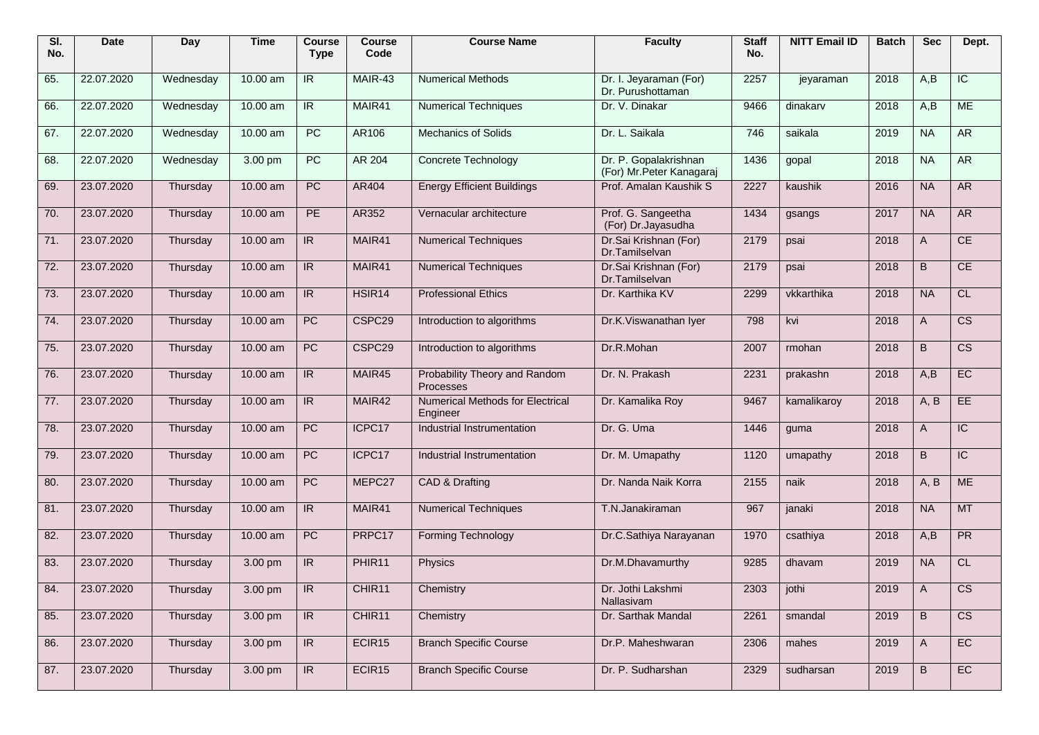| SI.<br>No. | <b>Date</b> | <b>Day</b> | <b>Time</b> | Course<br><b>Type</b>    | <b>Course</b><br>Code | <b>Course Name</b>                           | <b>Faculty</b>                                     | <b>Staff</b><br>No. | <b>NITT Email ID</b> | <b>Batch</b> | <b>Sec</b>     | Dept.                  |
|------------|-------------|------------|-------------|--------------------------|-----------------------|----------------------------------------------|----------------------------------------------------|---------------------|----------------------|--------------|----------------|------------------------|
| 65.        | 22.07.2020  | Wednesday  | 10.00 am    | IR.                      | MAIR-43               | <b>Numerical Methods</b>                     | Dr. I. Jeyaraman (For)<br>Dr. Purushottaman        | 2257                | jeyaraman            | 2018         | A.B            | $\overline{C}$         |
| 66.        | 22.07.2020  | Wednesday  | 10.00 am    | IR.                      | MAIR41                | <b>Numerical Techniques</b>                  | Dr. V. Dinakar                                     | 9466                | dinakarv             | 2018         | A,B            | ME                     |
| 67.        | 22.07.2020  | Wednesday  | 10.00 am    | $\overline{PC}$          | AR106                 | <b>Mechanics of Solids</b>                   | Dr. L. Saikala                                     | 746                 | saikala              | 2019         | <b>NA</b>      | <b>AR</b>              |
| 68.        | 22.07.2020  | Wednesday  | 3.00 pm     | $\overline{PC}$          | <b>AR 204</b>         | Concrete Technology                          | Dr. P. Gopalakrishnan<br>(For) Mr. Peter Kanagaraj | 1436                | gopal                | 2018         | <b>NA</b>      | <b>AR</b>              |
| 69.        | 23.07.2020  | Thursday   | 10.00 am    | PC                       | AR404                 | <b>Energy Efficient Buildings</b>            | Prof. Amalan Kaushik S                             | 2227                | kaushik              | 2016         | <b>NA</b>      | <b>AR</b>              |
| 70.        | 23.07.2020  | Thursday   | 10.00 am    | PE                       | AR352                 | Vernacular architecture                      | Prof. G. Sangeetha<br>(For) Dr. Jayasudha          | 1434                | gsangs               | 2017         | <b>NA</b>      | <b>AR</b>              |
| 71.        | 23.07.2020  | Thursday   | 10.00 am    | $\overline{\mathbb{R}}$  | MAIR41                | <b>Numerical Techniques</b>                  | Dr.Sai Krishnan (For)<br>Dr.Tamilselvan            | 2179                | psai                 | 2018         | A              | CE                     |
| 72.        | 23.07.2020  | Thursday   | 10.00 am    | IR                       | MAIR41                | <b>Numerical Techniques</b>                  | Dr.Sai Krishnan (For)<br>Dr.Tamilselvan            | 2179                | psai                 | 2018         | B              | CE                     |
| 73.        | 23.07.2020  | Thursday   | 10.00 am    | $\overline{\mathsf{IR}}$ | HSIR <sub>14</sub>    | <b>Professional Ethics</b>                   | Dr. Karthika KV                                    | 2299                | vkkarthika           | 2018         | <b>NA</b>      | CL                     |
| 74.        | 23.07.2020  | Thursdav   | 10.00 am    | PC                       | CSPC <sub>29</sub>    | Introduction to algorithms                   | Dr.K. Viswanathan Iyer                             | 798                 | kvi                  | 2018         | A              | $\overline{\text{cs}}$ |
| 75.        | 23.07.2020  | Thursday   | 10.00 am    | PC                       | CSPC <sub>29</sub>    | Introduction to algorithms                   | Dr.R.Mohan                                         | 2007                | rmohan               | 2018         | B              | $\overline{\text{cs}}$ |
| 76.        | 23.07.2020  | Thursday   | 10.00 am    | IR                       | MAIR45                | Probability Theory and Random<br>Processes   | Dr. N. Prakash                                     | 2231                | prakashn             | 2018         | A,B            | EC                     |
| 77.        | 23.07.2020  | Thursday   | 10.00 am    | $\overline{\mathbb{R}}$  | MAIR42                | Numerical Methods for Electrical<br>Engineer | Dr. Kamalika Roy                                   | 9467                | kamalikaroy          | 2018         | A, B           | EE                     |
| 78.        | 23.07.2020  | Thursday   | 10.00 am    | PC                       | ICPC17                | Industrial Instrumentation                   | Dr. G. Uma                                         | 1446                | guma                 | 2018         | A              | $\overline{IC}$        |
| 79.        | 23.07.2020  | Thursday   | 10.00 am    | PC                       | ICPC17                | Industrial Instrumentation                   | Dr. M. Umapathy                                    | 1120                | umapathy             | 2018         | B              | $\overline{IC}$        |
| 80.        | 23.07.2020  | Thursday   | 10.00 am    | PC                       | MEPC27                | CAD & Drafting                               | Dr. Nanda Naik Korra                               | 2155                | naik                 | 2018         | A, B           | <b>ME</b>              |
| 81.        | 23.07.2020  | Thursday   | 10.00 am    | $\overline{R}$           | MAIR41                | <b>Numerical Techniques</b>                  | T.N.Janakiraman                                    | 967                 | janaki               | 2018         | <b>NA</b>      | <b>MT</b>              |
| 82.        | 23.07.2020  | Thursday   | 10.00 am    | PC                       | PRPC17                | <b>Forming Technology</b>                    | Dr.C.Sathiya Narayanan                             | 1970                | csathiya             | 2018         | A,B            | PR                     |
| 83.        | 23.07.2020  | Thursday   | 3.00 pm     | IR                       | PHIR11                | Physics                                      | Dr.M.Dhavamurthy                                   | 9285                | dhavam               | 2019         | <b>NA</b>      | CL                     |
| 84.        | 23.07.2020  | Thursday   | 3.00 pm     | $\overline{\mathsf{IR}}$ | CHIR11                | Chemistry                                    | Dr. Jothi Lakshmi<br>Nallasivam                    | 2303 jothi          |                      | 2019         | $\overline{A}$ | $\overline{\text{CS}}$ |
| 85.        | 23.07.2020  | Thursday   | 3.00 pm     | IR                       | CHIR11                | Chemistry                                    | Dr. Sarthak Mandal                                 | 2261                | smandal              | 2019         | B              | $\overline{\text{CS}}$ |
| 86.        | 23.07.2020  | Thursday   | 3.00 pm     | $\overline{\mathbb{R}}$  | ECIR15                | <b>Branch Specific Course</b>                | Dr.P. Maheshwaran                                  | 2306                | mahes                | 2019         | A              | EC                     |
| 87.        | 23.07.2020  | Thursday   | 3.00 pm     | $\overline{\mathsf{IR}}$ | ECIR15                | <b>Branch Specific Course</b>                | Dr. P. Sudharshan                                  | 2329                | sudharsan            | 2019         | B              | EC                     |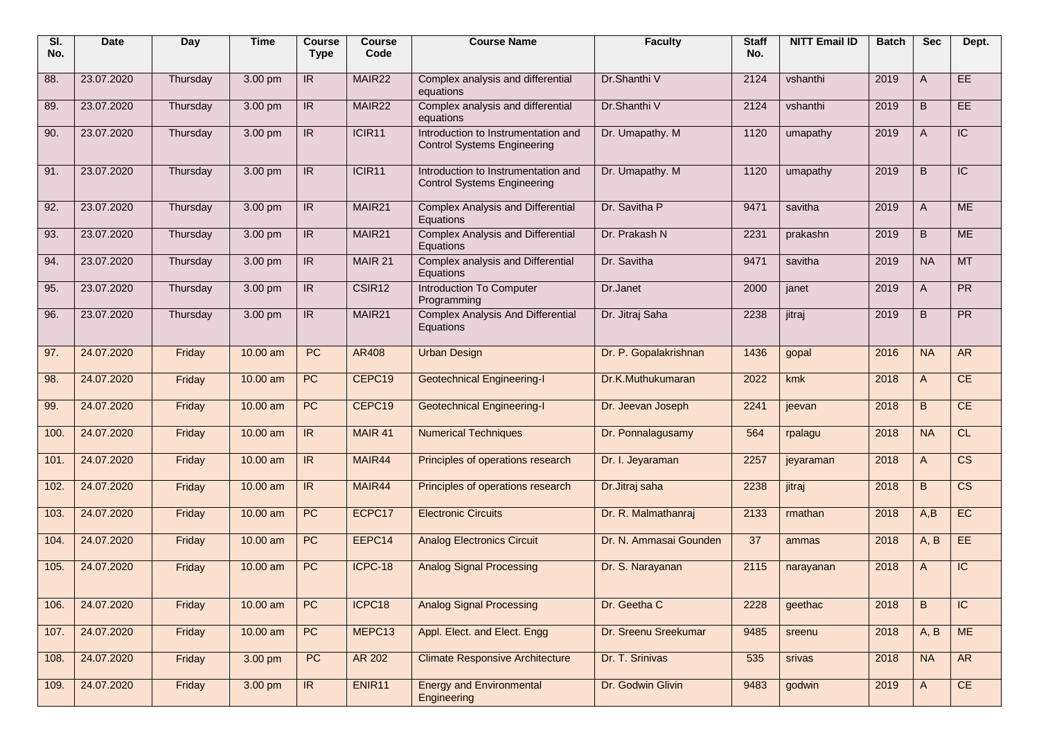| SI.<br>No. | <b>Date</b> | Day      | <b>Time</b> | <b>Course</b><br><b>Type</b> | <b>Course</b><br>Code | <b>Course Name</b>                                                        | <b>Faculty</b>         | <b>Staff</b><br>No. | <b>NITT Email ID</b> | <b>Batch</b> | <b>Sec</b>   | Dept.                  |
|------------|-------------|----------|-------------|------------------------------|-----------------------|---------------------------------------------------------------------------|------------------------|---------------------|----------------------|--------------|--------------|------------------------|
| 88.        | 23.07.2020  | Thursday | 3.00 pm     | IR                           | MAIR22                | Complex analysis and differential<br>equations                            | Dr.Shanthi V           | 2124                | vshanthi             | 2019         | A            | EE.                    |
| 89.        | 23.07.2020  | Thursday | 3.00 pm     | IR                           | MAIR22                | Complex analysis and differential<br>equations                            | Dr.Shanthi V           | 2124                | vshanthi             | 2019         | B            | EE                     |
| 90.        | 23.07.2020  | Thursday | 3.00 pm     | IR                           | ICIR11                | Introduction to Instrumentation and<br><b>Control Systems Engineering</b> | Dr. Umapathy. M        | 1120                | umapathy             | 2019         | A            | $\overline{IC}$        |
| 91.        | 23.07.2020  | Thursday | 3.00 pm     | IR                           | ICIR11                | Introduction to Instrumentation and<br><b>Control Systems Engineering</b> | Dr. Umapathy. M        | 1120                | umapathy             | 2019         | B            | $\overline{C}$         |
| 92.        | 23.07.2020  | Thursday | 3.00 pm     | IR                           | MAIR <sub>21</sub>    | <b>Complex Analysis and Differential</b><br>Equations                     | Dr. Savitha P          | 9471                | savitha              | 2019         | A            | <b>ME</b>              |
| 93.        | 23.07.2020  | Thursday | 3.00 pm     | IR                           | MAIR21                | <b>Complex Analysis and Differential</b><br>Equations                     | Dr. Prakash N          | 2231                | prakashn             | 2019         | B            | <b>ME</b>              |
| 94.        | 23.07.2020  | Thursday | 3.00 pm     | IR                           | MAIR 21               | Complex analysis and Differential<br>Equations                            | Dr. Savitha            | 9471                | savitha              | 2019         | <b>NA</b>    | <b>MT</b>              |
| 95.        | 23.07.2020  | Thursday | 3.00 pm     | IR                           | CSIR12                | Introduction To Computer<br>Programming                                   | Dr.Janet               | 2000                | janet                | 2019         | A            | PR                     |
| 96.        | 23.07.2020  | Thursday | 3.00 pm     | IR                           | MAIR <sub>21</sub>    | <b>Complex Analysis And Differential</b><br>Equations                     | Dr. Jitraj Saha        | 2238                | jitraj               | 2019         | B            | PR                     |
| 97.        | 24.07.2020  | Friday   | 10.00 am    | <b>PC</b>                    | AR408                 | <b>Urban Design</b>                                                       | Dr. P. Gopalakrishnan  | 1436                | gopal                | 2016         | <b>NA</b>    | <b>AR</b>              |
| 98.        | 24.07.2020  | Friday   | 10.00 am    | <b>PC</b>                    | CEPC19                | <b>Geotechnical Engineering-I</b>                                         | Dr.K.Muthukumaran      | 2022                | kmk                  | 2018         | $\mathsf{A}$ | CE                     |
| 99.        | 24.07.2020  | Friday   | 10.00 am    | <b>PC</b>                    | CEPC19                | <b>Geotechnical Engineering-I</b>                                         | Dr. Jeevan Joseph      | 2241                | jeevan               | 2018         | B            | CE                     |
| 100.       | 24.07.2020  | Friday   | 10.00 am    | IR                           | MAIR 41               | <b>Numerical Techniques</b>                                               | Dr. Ponnalagusamy      | 564                 | rpalagu              | 2018         | <b>NA</b>    | <b>CL</b>              |
| 101.       | 24.07.2020  | Friday   | 10.00 am    | IR                           | MAIR44                | Principles of operations research                                         | Dr. I. Jeyaraman       | 2257                | jeyaraman            | 2018         | $\mathsf{A}$ | $\overline{\text{cs}}$ |
| 102.       | 24.07.2020  | Friday   | 10.00 am    | IR                           | MAIR44                | Principles of operations research                                         | Dr.Jitraj saha         | 2238                | jitraj               | 2018         | B            | $\overline{\text{CS}}$ |
| 103.       | 24.07.2020  | Friday   | 10.00 am    | <b>PC</b>                    | ECPC17                | <b>Electronic Circuits</b>                                                | Dr. R. Malmathanraj    | 2133                | rmathan              | 2018         | A,B          | EC                     |
| 104.       | 24.07.2020  | Friday   | 10.00 am    | <b>PC</b>                    | EEPC14                | <b>Analog Electronics Circuit</b>                                         | Dr. N. Ammasai Gounden | 37                  | ammas                | 2018         | A, B         | EE                     |
| 105.       | 24.07.2020  | Friday   | 10.00 am    | <b>PC</b>                    | ICPC-18               | <b>Analog Signal Processing</b>                                           | Dr. S. Narayanan       | 2115                | narayanan            | 2018         | A            | $\overline{C}$         |
| 106.       | 24.07.2020  | Friday   | $10.00$ am  | PC                           | ICPC18                | <b>Analog Signal Processing</b>                                           | Dr. Geetha C           | 2228                | geethac              | 2018         | B            | $\overline{C}$         |
| 107.       | 24.07.2020  | Friday   | $10.00$ am  | PC                           | MEPC13                | Appl. Elect. and Elect. Engg                                              | Dr. Sreenu Sreekumar   | 9485                | sreenu               | 2018         | A, B         | <b>ME</b>              |
| 108.       | 24.07.2020  | Friday   | 3.00 pm     | PC                           | AR 202                | <b>Climate Responsive Architecture</b>                                    | Dr. T. Srinivas        | 535                 | srivas               | 2018         | <b>NA</b>    | <b>AR</b>              |
| 109.       | 24.07.2020  | Friday   | 3.00 pm     | IR                           | ENIR11                | <b>Energy and Environmental</b><br>Engineering                            | Dr. Godwin Glivin      | 9483                | godwin               | 2019         | A            | CE                     |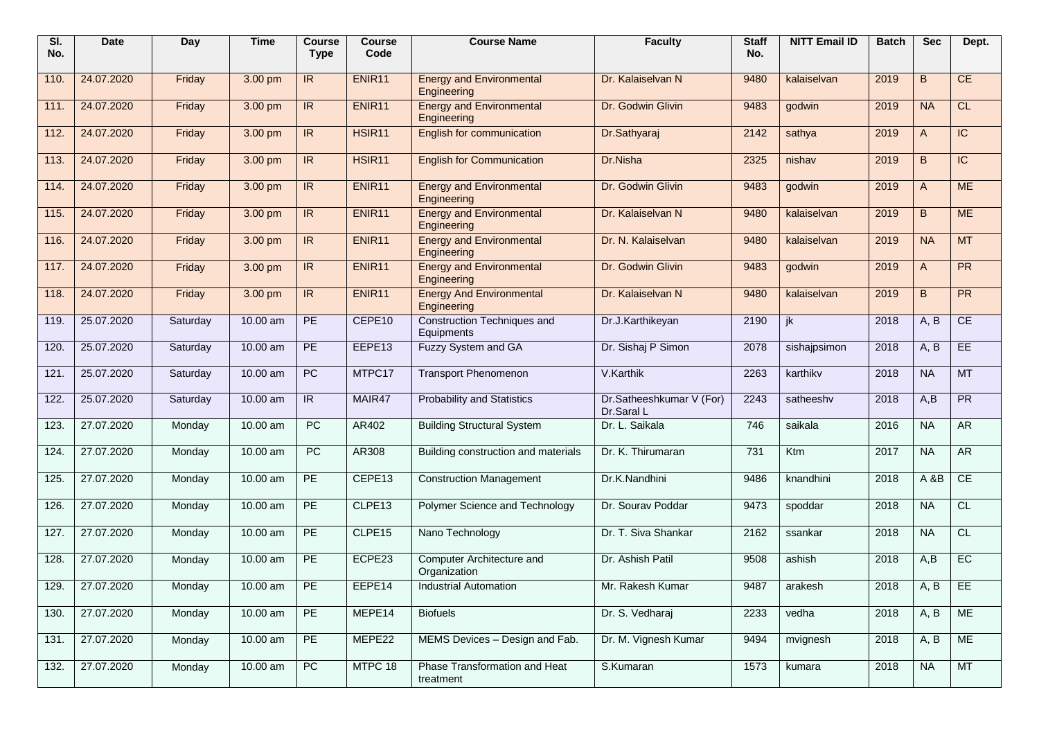| SI.<br>No. | <b>Date</b> | Day      | <b>Time</b> | <b>Course</b><br><b>Type</b> | <b>Course</b><br>Code | <b>Course Name</b>                             | <b>Faculty</b>                         | <b>Staff</b><br>No. | <b>NITT Email ID</b> | <b>Batch</b> | <b>Sec</b>   | Dept.           |
|------------|-------------|----------|-------------|------------------------------|-----------------------|------------------------------------------------|----------------------------------------|---------------------|----------------------|--------------|--------------|-----------------|
| 110.       | 24.07.2020  | Friday   | 3.00 pm     | IR.                          | ENIR11                | <b>Energy and Environmental</b><br>Engineering | Dr. Kalaiselvan N                      | 9480                | kalaiselvan          | 2019         | B            | CE              |
| 111.       | 24.07.2020  | Friday   | 3.00 pm     | $\overline{\mathsf{IR}}$     | ENIR <sub>11</sub>    | <b>Energy and Environmental</b><br>Engineering | Dr. Godwin Glivin                      | 9483                | godwin               | 2019         | <b>NA</b>    | CL              |
| 112.       | 24.07.2020  | Friday   | 3.00 pm     | IR                           | HSIR <sub>11</sub>    | English for communication                      | Dr.Sathyaraj                           | 2142                | sathya               | 2019         | $\mathsf{A}$ | $\overline{IC}$ |
| 113.       | 24.07.2020  | Friday   | 3.00 pm     | $\overline{R}$               | HSIR <sub>11</sub>    | <b>English for Communication</b>               | Dr.Nisha                               | 2325                | nishav               | 2019         | B            | $\overline{C}$  |
| 114.       | 24.07.2020  | Friday   | 3.00 pm     | $\overline{\mathsf{IR}}$     | ENIR <sub>11</sub>    | <b>Energy and Environmental</b><br>Engineering | Dr. Godwin Glivin                      | 9483                | godwin               | 2019         | $\mathsf{A}$ | <b>ME</b>       |
| 115.       | 24.07.2020  | Friday   | 3.00 pm     | IR                           | ENIR <sub>11</sub>    | <b>Energy and Environmental</b><br>Engineering | Dr. Kalaiselvan N                      | 9480                | kalaiselvan          | 2019         | B            | <b>ME</b>       |
| 116.       | 24.07.2020  | Friday   | 3.00 pm     | $\overline{\mathsf{IR}}$     | ENIR <sub>11</sub>    | <b>Energy and Environmental</b><br>Engineering | Dr. N. Kalaiselvan                     | 9480                | kalaiselvan          | 2019         | <b>NA</b>    | <b>MT</b>       |
| 117.       | 24.07.2020  | Friday   | 3.00 pm     | IR                           | ENIR <sub>11</sub>    | <b>Energy and Environmental</b><br>Engineering | Dr. Godwin Glivin                      | 9483                | godwin               | 2019         | $\mathsf{A}$ | PR              |
| 118.       | 24.07.2020  | Friday   | 3.00 pm     | $\overline{\mathsf{IR}}$     | ENIR <sub>11</sub>    | <b>Energy And Environmental</b><br>Engineering | Dr. Kalaiselvan N                      | 9480                | kalaiselvan          | 2019         | B            | PR              |
| 119.       | 25.07.2020  | Saturday | 10.00 am    | PE                           | CEPE10                | Construction Techniques and<br>Equipments      | Dr.J.Karthikeyan                       | 2190                | ik                   | 2018         | A, B         | CE              |
| 120.       | 25.07.2020  | Saturday | 10.00 am    | PE                           | EEPE13                | <b>Fuzzy System and GA</b>                     | Dr. Sishaj P Simon                     | 2078                | sishajpsimon         | 2018         | A, B         | EE              |
| 121.       | 25.07.2020  | Saturday | 10.00 am    | <b>PC</b>                    | MTPC17                | <b>Transport Phenomenon</b>                    | V.Karthik                              | 2263                | karthikv             | 2018         | <b>NA</b>    | MT              |
| 122.       | 25.07.2020  | Saturday | 10.00 am    | IR                           | MAIR47                | <b>Probability and Statistics</b>              | Dr.Satheeshkumar V (For)<br>Dr.Saral L | 2243                | satheeshv            | 2018         | A,B          | PR              |
| 123.       | 27.07.2020  | Monday   | 10.00 am    | <b>PC</b>                    | AR402                 | <b>Building Structural System</b>              | Dr. L. Saikala                         | 746                 | saikala              | 2016         | <b>NA</b>    | <b>AR</b>       |
| 124.       | 27.07.2020  | Monday   | 10.00 am    | <b>PC</b>                    | AR308                 | Building construction and materials            | Dr. K. Thirumaran                      | 731                 | Ktm                  | 2017         | <b>NA</b>    | AR              |
| 125.       | 27.07.2020  | Monday   | 10.00 am    | PE                           | CEPE13                | <b>Construction Management</b>                 | Dr.K.Nandhini                          | 9486                | knandhini            | 2018         | A&B          | CE              |
| 126.       | 27.07.2020  | Monday   | 10.00 am    | PE                           | CLPE13                | Polymer Science and Technology                 | Dr. Sourav Poddar                      | 9473                | spoddar              | 2018         | <b>NA</b>    | CL              |
| 127.       | 27.07.2020  | Monday   | 10.00 am    | PE                           | CLPE15                | Nano Technology                                | Dr. T. Siva Shankar                    | 2162                | ssankar              | 2018         | <b>NA</b>    | CL              |
| 128.       | 27.07.2020  | Monday   | 10.00 am    | $\overline{PE}$              | ECPE23                | Computer Architecture and<br>Organization      | Dr. Ashish Patil                       | 9508                | ashish               | 2018         | A.B          | EC              |
| 129.       | 27.07.2020  | Monday   | 10.00 am    | PE                           | EEPE14                | <b>Industrial Automation</b>                   | Mr. Rakesh Kumar                       | 9487                | arakesh              | 2018         | A, B         | FE              |
| 130.       | 27.07.2020  | Monday   | 10.00 am    | PE                           | MEPE14                | <b>Biofuels</b>                                | Dr. S. Vedharaj                        | 2233                | vedha                | 2018         | A, B         | ME              |
| 131.       | 27.07.2020  | Monday   | 10.00 am    | PE                           | MEPE22                | MEMS Devices - Design and Fab.                 | Dr. M. Vignesh Kumar                   | 9494                | mvignesh             | 2018         | A, B         | ME              |
| 132.       | 27.07.2020  | Monday   | 10.00 am    | PC                           | MTPC 18               | Phase Transformation and Heat<br>treatment     | S.Kumaran                              | 1573                | kumara               | 2018         | <b>NA</b>    | MT              |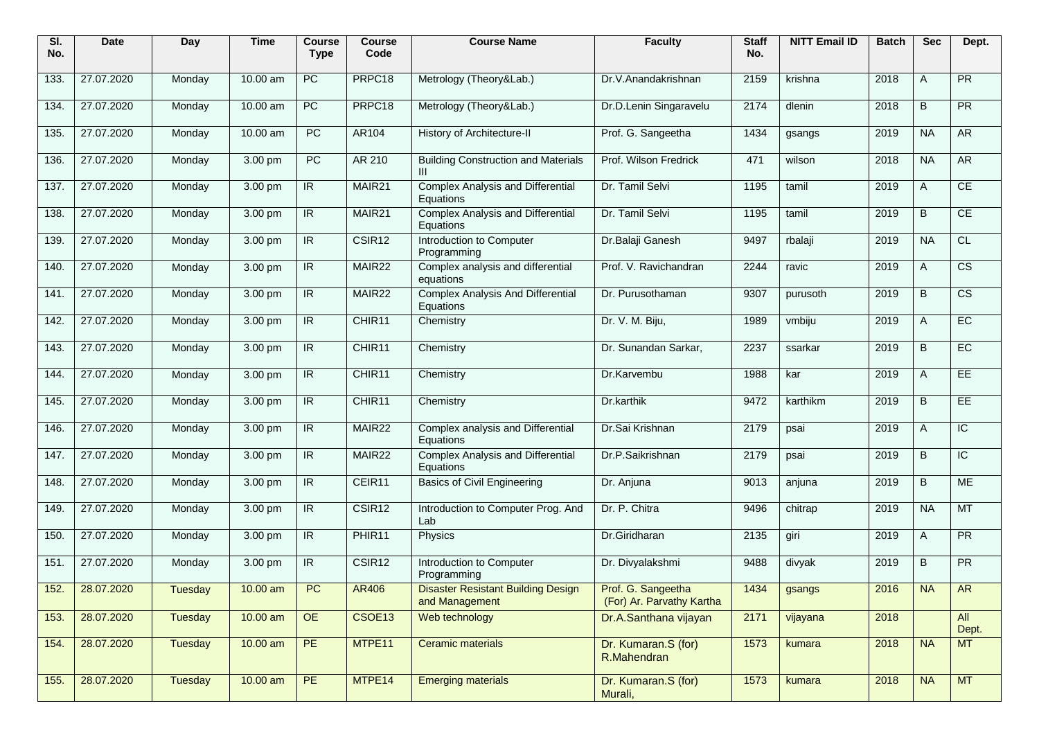| SI.<br>No. | Date            | Day     | <b>Time</b> | <b>Course</b><br><b>Type</b> | <b>Course</b><br>Code | <b>Course Name</b>                                          | <b>Faculty</b>                                  | <b>Staff</b><br>No. | <b>NITT Email ID</b> | <b>Batch</b> | <b>Sec</b> | Dept.                  |
|------------|-----------------|---------|-------------|------------------------------|-----------------------|-------------------------------------------------------------|-------------------------------------------------|---------------------|----------------------|--------------|------------|------------------------|
| 133.       | 27.07.2020      | Monday  | 10.00 am    | PC                           | PRPC18                | Metrology (Theory&Lab.)                                     | Dr.V.Anandakrishnan                             | 2159                | krishna              | 2018         | Α          | $\overline{PR}$        |
| 134.       | 27.07.2020      | Monday  | 10.00 am    | PC                           | PRPC18                | Metrology (Theory&Lab.)                                     | Dr.D.Lenin Singaravelu                          | 2174                | dlenin               | 2018         | B          | PR                     |
| 135.       | 27.07.2020      | Monday  | $10.00$ am  | PC                           | AR104                 | History of Architecture-II                                  | Prof. G. Sangeetha                              | 1434                | gsangs               | 2019         | <b>NA</b>  | <b>AR</b>              |
| 136.       | 27.07.2020      | Monday  | 3.00 pm     | PC                           | AR 210                | <b>Building Construction and Materials</b><br>Ш             | Prof. Wilson Fredrick                           | 471                 | wilson               | 2018         | <b>NA</b>  | <b>AR</b>              |
| 137.       | 27.07.2020      | Monday  | 3.00 pm     | IR.                          | MAIR21                | <b>Complex Analysis and Differential</b><br>Equations       | Dr. Tamil Selvi                                 | 1195                | tamil                | 2019         | Α          | CE                     |
| 138.       | 27.07.2020      | Monday  | 3.00 pm     | IR.                          | MAIR <sub>21</sub>    | <b>Complex Analysis and Differential</b><br>Equations       | Dr. Tamil Selvi                                 | 1195                | tamil                | 2019         | B          | CE                     |
| 139.       | 27.07.2020      | Monday  | 3.00 pm     | IR                           | CSIR <sub>12</sub>    | Introduction to Computer<br>Programming                     | Dr.Balaji Ganesh                                | 9497                | rbalaji              | 2019         | <b>NA</b>  | CL                     |
| 140.       | 27.07.2020      | Monday  | 3.00 pm     | IR                           | MAIR22                | Complex analysis and differential<br>equations              | Prof. V. Ravichandran                           | 2244                | ravic                | 2019         | A          | $\overline{\text{cs}}$ |
| 141.       | 27.07.2020      | Monday  | 3.00 pm     | IR                           | MAIR22                | <b>Complex Analysis And Differential</b><br>Equations       | Dr. Purusothaman                                | 9307                | purusoth             | 2019         | B          | $\overline{\text{cs}}$ |
| 142.       | 27.07.2020      | Monday  | 3.00 pm     | IR                           | CHIR <sub>11</sub>    | Chemistry                                                   | Dr. V. M. Biju,                                 | 1989                | vmbiju               | 2019         | Α          | EC                     |
| 143.       | 27.07.2020      | Monday  | 3.00 pm     | IR.                          | CHIR11                | Chemistry                                                   | Dr. Sunandan Sarkar,                            | 2237                | ssarkar              | 2019         | B          | EC                     |
| 144.       | 27.07.2020      | Monday  | 3.00 pm     | $\overline{\mathbb{R}}$      | CHIR11                | Chemistry                                                   | Dr.Karvembu                                     | 1988                | kar                  | 2019         | Α          | <b>EE</b>              |
| 145.       | 27.07.2020      | Monday  | 3.00 pm     | IR                           | CHIR11                | Chemistry                                                   | Dr.karthik                                      | 9472                | karthikm             | 2019         | B          | EE                     |
| 146.       | 27.07.2020      | Monday  | 3.00 pm     | $\overline{\mathsf{IR}}$     | MAIR22                | Complex analysis and Differential<br>Equations              | Dr.Sai Krishnan                                 | 2179                | psai                 | 2019         | A          | $\overline{C}$         |
| 147.       | 27.07.2020      | Monday  | 3.00 pm     | IR                           | MAIR22                | <b>Complex Analysis and Differential</b><br>Equations       | Dr.P.Saikrishnan                                | 2179                | psai                 | 2019         | B          | $\overline{C}$         |
| 148.       | 27.07.2020      | Monday  | 3.00 pm     | IR.                          | CEIR11                | <b>Basics of Civil Engineering</b>                          | Dr. Anjuna                                      | 9013                | anjuna               | 2019         | B          | <b>ME</b>              |
| 149.       | 27.07.2020      | Monday  | 3.00 pm     | IR                           | CSIR <sub>12</sub>    | Introduction to Computer Prog. And<br>Lab                   | Dr. P. Chitra                                   | 9496                | chitrap              | 2019         | <b>NA</b>  | <b>MT</b>              |
| 150.       | 27.07.2020      | Monday  | 3.00 pm     | IR                           | PHIR11                | Physics                                                     | Dr.Giridharan                                   | 2135                | giri                 | 2019         | A          | <b>PR</b>              |
| 151.       | 27.07.2020      | Monday  | 3.00 pm     | IR.                          | CSIR12                | Introduction to Computer<br>Programming                     | Dr. Divyalakshmi                                | 9488                | divyak               | 2019         | B          | PR                     |
|            | 152. 28.07.2020 | Tuesday | $10.00$ am  | PC                           | AR406                 | <b>Disaster Resistant Building Design</b><br>and Management | Prof. G. Sangeetha<br>(For) Ar. Parvathy Kartha | 1434                | gsangs               | 2016         | <b>NA</b>  | AR                     |
| 153.       | 28.07.2020      | Tuesday | $10.00$ am  | OE                           | CSOE13                | Web technology                                              | Dr.A.Santhana vijayan                           | 2171                | vijayana             | 2018         |            | All<br>Dept.           |
| 154.       | 28.07.2020      | Tuesday | $10.00$ am  | PE                           | MTPE11                | Ceramic materials                                           | Dr. Kumaran.S (for)<br>R.Mahendran              | 1573                | kumara               | 2018         | <b>NA</b>  | <b>MT</b>              |
| 155.       | 28.07.2020      | Tuesday | $10.00$ am  | PE                           | MTPE14                | <b>Emerging materials</b>                                   | Dr. Kumaran.S (for)<br>Murali,                  | 1573                | kumara               | 2018         | <b>NA</b>  | MT                     |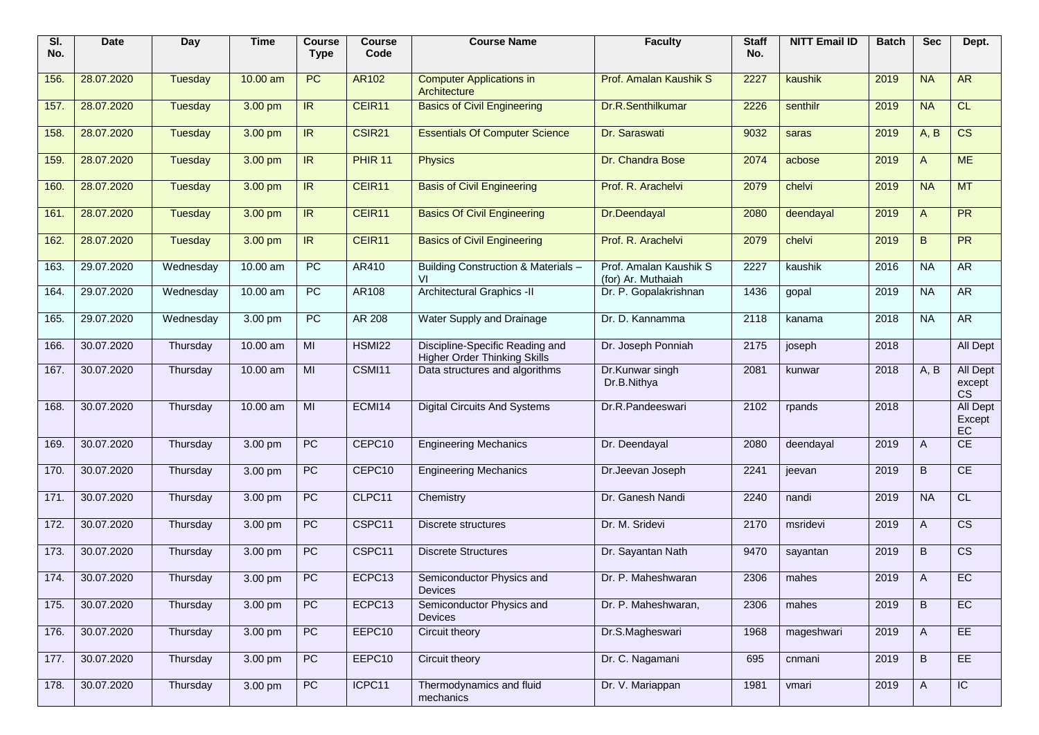| SI.<br>No. | Date       | Day            | <b>Time</b> | <b>Course</b><br><b>Type</b> | <b>Course</b><br>Code | <b>Course Name</b>                                                     | <b>Faculty</b>                               | <b>Staff</b><br>No. | <b>NITT Email ID</b> | <b>Batch</b> | <b>Sec</b>   | Dept.                                  |
|------------|------------|----------------|-------------|------------------------------|-----------------------|------------------------------------------------------------------------|----------------------------------------------|---------------------|----------------------|--------------|--------------|----------------------------------------|
| 156.       | 28.07.2020 | Tuesday        | 10.00 am    | PC                           | <b>AR102</b>          | <b>Computer Applications in</b><br>Architecture                        | Prof. Amalan Kaushik S                       | 2227                | kaushik              | 2019         | <b>NA</b>    | <b>AR</b>                              |
| 157.       | 28.07.2020 | Tuesday        | 3.00 pm     | IR                           | CEIR11                | <b>Basics of Civil Engineering</b>                                     | Dr.R.Senthilkumar                            | 2226                | senthilr             | 2019         | <b>NA</b>    | CL                                     |
| 158.       | 28.07.2020 | Tuesday        | 3.00 pm     | IR                           | CSIR <sub>21</sub>    | <b>Essentials Of Computer Science</b>                                  | Dr. Saraswati                                | 9032                | saras                | 2019         | A, B         | $\overline{\text{CS}}$                 |
| 159.       | 28.07.2020 | Tuesday        | 3.00 pm     | $\overline{R}$               | <b>PHIR 11</b>        | <b>Physics</b>                                                         | Dr. Chandra Bose                             | 2074                | acbose               | 2019         | A            | <b>ME</b>                              |
| 160.       | 28.07.2020 | <b>Tuesday</b> | 3.00 pm     | IR                           | CEIR11                | <b>Basis of Civil Engineering</b>                                      | Prof. R. Arachelvi                           | 2079                | chelvi               | 2019         | <b>NA</b>    | <b>MT</b>                              |
| 161.       | 28.07.2020 | <b>Tuesday</b> | 3.00 pm     | IR                           | CEIR11                | <b>Basics Of Civil Engineering</b>                                     | Dr.Deendayal                                 | 2080                | deendayal            | 2019         | $\mathsf{A}$ | PR                                     |
| 162.       | 28.07.2020 | Tuesday        | 3.00 pm     | IR                           | CEIR11                | <b>Basics of Civil Engineering</b>                                     | Prof. R. Arachelvi                           | 2079                | chelvi               | 2019         | B.           | PR                                     |
| 163.       | 29.07.2020 | Wednesday      | $10.00$ am  | $\overline{PC}$              | AR410                 | Building Construction & Materials -<br>VI                              | Prof. Amalan Kaushik S<br>(for) Ar. Muthaiah | 2227                | kaushik              | 2016         | <b>NA</b>    | <b>AR</b>                              |
| 164.       | 29.07.2020 | Wednesday      | $10.00$ am  | <b>PC</b>                    | <b>AR108</b>          | <b>Architectural Graphics -II</b>                                      | Dr. P. Gopalakrishnan                        | 1436                | gopal                | 2019         | <b>NA</b>    | <b>AR</b>                              |
| 165.       | 29.07.2020 | Wednesday      | 3.00 pm     | <b>PC</b>                    | AR 208                | Water Supply and Drainage                                              | Dr. D. Kannamma                              | 2118                | kanama               | 2018         | <b>NA</b>    | AR                                     |
| 166.       | 30.07.2020 | Thursday       | 10.00 am    | MI                           | <b>HSMI22</b>         | Discipline-Specific Reading and<br><b>Higher Order Thinking Skills</b> | Dr. Joseph Ponniah                           | 2175                | joseph               | 2018         |              | All Dept                               |
| 167.       | 30.07.2020 | Thursday       | 10.00 am    | MI                           | CSMI11                | Data structures and algorithms                                         | Dr.Kunwar singh<br>Dr.B.Nithya               | 2081                | kunwar               | 2018         | A, B         | <b>All Dept</b><br>except<br><b>CS</b> |
| 168.       | 30.07.2020 | Thursday       | 10.00 am    | MI                           | ECMI14                | <b>Digital Circuits And Systems</b>                                    | Dr.R.Pandeeswari                             | 2102                | rpands               | 2018         |              | All Dept<br>Except<br>EC               |
| 169.       | 30.07.2020 | Thursday       | 3.00 pm     | <b>PC</b>                    | CEPC10                | <b>Engineering Mechanics</b>                                           | Dr. Deendayal                                | 2080                | deendayal            | 2019         | A            | CE                                     |
| 170.       | 30.07.2020 | Thursday       | 3.00 pm     | PC                           | CEPC10                | <b>Engineering Mechanics</b>                                           | Dr.Jeevan Joseph                             | 2241                | jeevan               | 2019         | B            | CE                                     |
| 171.       | 30.07.2020 | Thursday       | 3.00 pm     | PC                           | CLPC11                | Chemistry                                                              | Dr. Ganesh Nandi                             | 2240                | nandi                | 2019         | <b>NA</b>    | CL                                     |
| 172.       | 30.07.2020 | Thursday       | 3.00 pm     | PC                           | CSPC11                | Discrete structures                                                    | Dr. M. Sridevi                               | 2170                | msridevi             | 2019         | A            | $\overline{\text{cs}}$                 |
| 173.       | 30.07.2020 | Thursday       | 3.00 pm     | PC                           | CSPC11                | <b>Discrete Structures</b>                                             | Dr. Sayantan Nath                            | 9470                | sayantan             | 2019         | B            | $\overline{\text{cs}}$                 |
| 174.       | 30.07.2020 | Thursday       | 3.00 pm     | PC                           | ECPC13                | Semiconductor Physics and<br><b>Devices</b>                            | Dr. P. Maheshwaran                           | 2306                | mahes                | 2019         | A            | EC                                     |
| 175.       | 30.07.2020 | Thursday       | 3.00 pm     | PC                           | ECPC13                | Semiconductor Physics and<br><b>Devices</b>                            | Dr. P. Maheshwaran,                          | 2306                | mahes                | 2019         | B            | EC                                     |
| 176.       | 30.07.2020 | Thursday       | 3.00 pm     | PC                           | EEPC10                | Circuit theory                                                         | Dr.S.Magheswari                              | 1968                | mageshwari           | 2019         | A            | EE                                     |
| 177.       | 30.07.2020 | Thursday       | 3.00 pm     | PC                           | EEPC10                | Circuit theory                                                         | Dr. C. Nagamani                              | 695                 | cnmani               | 2019         | B            | EE                                     |
| 178.       | 30.07.2020 | Thursday       | 3.00 pm     | PC                           | ICPC11                | Thermodynamics and fluid<br>mechanics                                  | Dr. V. Mariappan                             | 1981                | vmari                | 2019         | A            | $\overline{C}$                         |